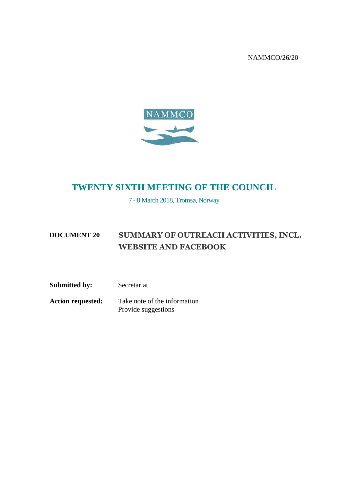NAMMCO/26/20



### **TWENTY SIXTH MEETING OF THE COUNCIL**

7 - 8 March 2018, Tromsø, Norway

#### **DOCUMENT 20 SUMMARY OF OUTREACH ACTIVITIES, INCL. WEBSITE AND FACEBOOK**

**Submitted by:** Secretariat **Action requested:** Take note of the information

Provide suggestions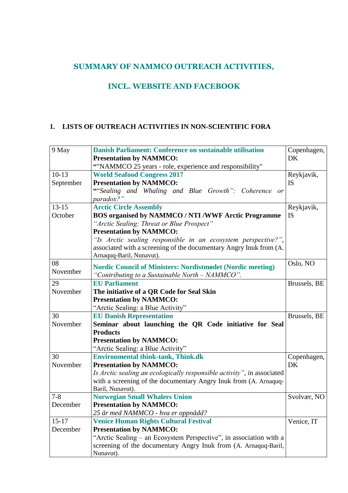#### **SUMMARY OF NAMMCO OUTREACH ACTIVITIES,**

#### **INCL. WEBSITE AND FACEBOOK**

#### **1. LISTS OF OUTREACH ACTIVITIES IN NON-SCIENTIFIC FORA**

| 9 May                | Danish Parliament: Conference on sustainable utilisation<br><b>Presentation by NAMMCO:</b><br>"NAMMCO 25 years - role, experience and responsibility" | Copenhagen,<br>DK       |
|----------------------|-------------------------------------------------------------------------------------------------------------------------------------------------------|-------------------------|
| $10-13$<br>September | <b>World Seafood Congress 2017</b><br><b>Presentation by NAMMCO:</b>                                                                                  | Reykjavik,<br><b>IS</b> |
|                      | "Sealing and Whaling and Blue Growth": Coherence or<br>paradox?"                                                                                      |                         |
| $13 - 15$            | <b>Arctic Circle Assembly</b>                                                                                                                         | Reykjavik,              |
| October              | <b>BOS organised by NAMMCO / NTI /WWF Arctic Programme</b>                                                                                            | <b>IS</b>               |
|                      | "Arctic Sealing: Threat or Blue Prospect"                                                                                                             |                         |
|                      | <b>Presentation by NAMMCO:</b>                                                                                                                        |                         |
|                      | "Is Arctic sealing responsible in an ecosystem perspective?",                                                                                         |                         |
|                      | associated with a screening of the documentary Angry Inuk from (A.<br>Arnaquq-Baril, Nunavut).                                                        |                         |
| 08                   | <b>Nordic Council of Ministers: Nordistmødet (Nordic meeting)</b>                                                                                     | Oslo, NO                |
| November             | "Contributing to a Sustainable North - NAMMCO".                                                                                                       |                         |
| 29                   | <b>EU Parliament</b>                                                                                                                                  | Brussels, BE            |
| November             | The initiative of a QR Code for Seal Skin                                                                                                             |                         |
|                      | <b>Presentation by NAMMCO:</b>                                                                                                                        |                         |
|                      | "Arctic Sealing: a Blue Activity"                                                                                                                     |                         |
| 30                   | <b>EU Danish Representation</b>                                                                                                                       | Brussels, BE            |
| November             | Seminar about launching the QR Code initiative for Seal                                                                                               |                         |
|                      | <b>Products</b>                                                                                                                                       |                         |
|                      | <b>Presentation by NAMMCO:</b>                                                                                                                        |                         |
|                      | "Arctic Sealing: a Blue Activity"                                                                                                                     |                         |
| 30                   | <b>Environmental think-tank, Think.dk</b>                                                                                                             | Copenhagen,             |
| November             | <b>Presentation by NAMMCO:</b>                                                                                                                        | DK                      |
|                      | Is Arctic sealing an ecologically responsible activity", in associated                                                                                |                         |
|                      | with a screening of the documentary Angry Inuk from (A. Arnaquq-                                                                                      |                         |
|                      | Baril, Nunavut).                                                                                                                                      |                         |
| $7 - 8$              | <b>Norwegian Small Whalers Union</b>                                                                                                                  | Svolvær, NO             |
| December             | <b>Presentation by NAMMCO:</b>                                                                                                                        |                         |
|                      | 25 år med NAMMCO - hva er oppnådd?                                                                                                                    |                         |
| $15 - 17$            | <b>Venice Human Rights Cultural Festival</b>                                                                                                          | Venice, IT              |
| December             | <b>Presentation by NAMMCO:</b>                                                                                                                        |                         |
|                      | "Arctic Sealing – an Ecosystem Perspective", in association with a                                                                                    |                         |
|                      | screening of the documentary Angry Inuk from (A. Arnaquq-Baril,                                                                                       |                         |
|                      | Nunavut).                                                                                                                                             |                         |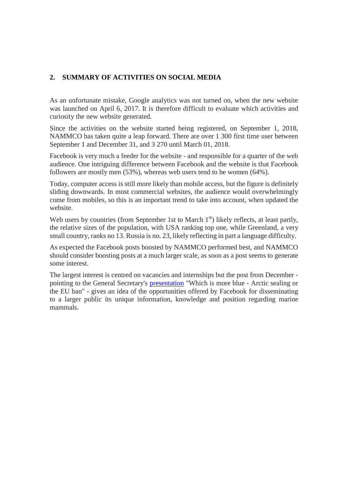#### **2. SUMMARY OF ACTIVITIES ON SOCIAL MEDIA**

As an unfortunate mistake, Google analytics was not turned on, when the new website was launched on April 6, 2017. It is therefore difficult to evaluate which activities and curiosity the new website generated.

Since the activities on the website started being registered, on September 1, 2018, NAMMCO has taken quite a leap forward. There are over 1 300 first time user between September 1 and December 31, and 3 270 until March 01, 2018.

Facebook is very much a feeder for the website - and responsible for a quarter of the web audience. One intriguing difference between Facebook and the website is that Facebook followers are mostly men (53%), whereas web users tend to be women (64%).

Today, computer access is still more likely than mobile access, but the figure is definitely sliding downwards. In most commercial websites, the audience would overwhelmingly come from mobiles, so this is an important trend to take into account, when updated the website.

Web users by countries (from September 1st to March  $1<sup>st</sup>$ ) likely reflects, at least partly, the relative sizes of the population, with USA ranking top one, while Greenland, a very small country, ranks no 13. Russia is no. 23, likely reflecting in part a language difficulty.

As expected the Facebook posts boosted by NAMMCO performed best, and NAMMCO should consider boosting posts at a much larger scale, as soon as a post seems to generate some interest.

The largest interest is centred on vacancies and internships but the post from December pointing to the General Secretary's [presentation](https://www.euractiv.com/section/economy-jobs/opinion/which-is-more-blue-arctic-sealing-or-the-eu-seal-ban/) "Which is more blue - Arctic sealing or the EU ban" - gives an idea of the opportunities offered by Facebook for disseminating to a larger public its unique information, knowledge and position regarding marine mammals.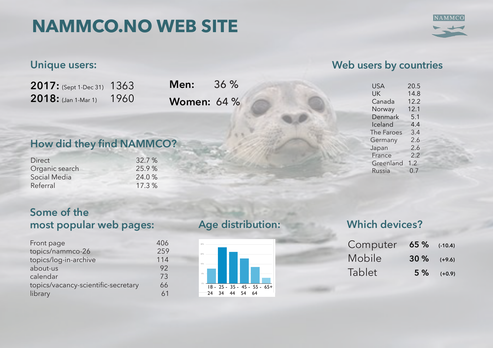# **NAMMCO.NO WEB SITE**



## **Unique users:**

| $2017:$ (Sept 1-Dec 31) | 1363 |
|-------------------------|------|
| $2018:$ (Jan 1-Mar 1)   | 1960 |

**Men:** 36 % **Women:** 64 %

## **How did they find NAMMCO?**

| <b>Direct</b>  | 32.7 % |
|----------------|--------|
| Organic search | 25.9%  |
| Social Media   | 24.0%  |
| Referral       | 17.3%  |
|                |        |

## **Some of the most popular web pages:**

| Front page                          | 406 |
|-------------------------------------|-----|
| topics/nammco-26                    | 259 |
| topics/log-in-archive               | 114 |
| about-us                            | 92  |
| calendar                            | 73  |
| topics/vacancy-scientific-secretary | 66  |
| library                             | 61  |

#### **Age distribution:** 10 i

Alle nettsteddata GÅ TIL RAPPORTEN TIL RAPPORTEN TIL RAPPORTEN TIL RAPPORTEN TIL RAPPORTEN TIL RAPPORTEN TIL R



# **1. Sep. 2017 - 3. Muslim Which devices?**

| Computer 65% (-10.4) |               |                |
|----------------------|---------------|----------------|
| Mobile               | $30\%$ (+9.6) |                |
| Tablet               |               | $5\%$ $(+0.9)$ |

## **Web users by countries**

| <b>USA</b> | 20.5 |
|------------|------|
| UK         | 14.8 |
| Canada     | 12.2 |
| Norway     | 12.1 |
| Denmark    | 5.1  |
| Iceland    | 4.4  |
| The Faroes | 3.4  |
| Germany    | 2.6  |
| Japan      | 2.6  |
| France     | 2.2  |
| Greenland  | 1.2  |
| Russia     | 0.7  |